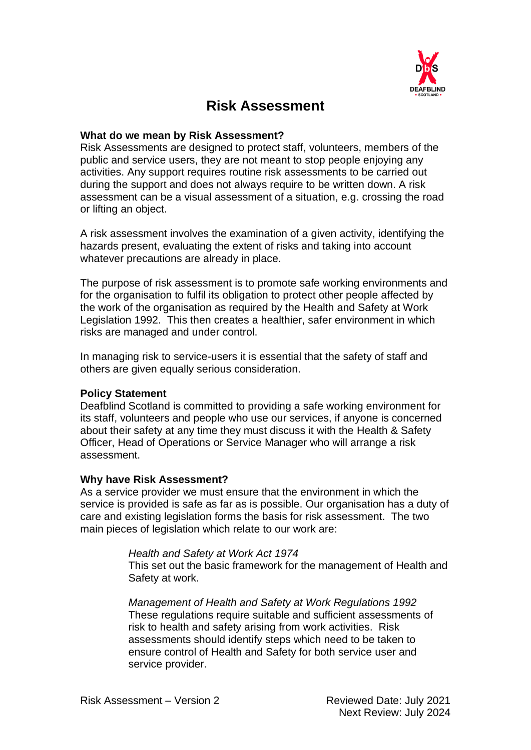

# **Risk Assessment**

#### **What do we mean by Risk Assessment?**

Risk Assessments are designed to protect staff, volunteers, members of the public and service users, they are not meant to stop people enjoying any activities. Any support requires routine risk assessments to be carried out during the support and does not always require to be written down. A risk assessment can be a visual assessment of a situation, e.g. crossing the road or lifting an object.

A risk assessment involves the examination of a given activity, identifying the hazards present, evaluating the extent of risks and taking into account whatever precautions are already in place.

The purpose of risk assessment is to promote safe working environments and for the organisation to fulfil its obligation to protect other people affected by the work of the organisation as required by the Health and Safety at Work Legislation 1992. This then creates a healthier, safer environment in which risks are managed and under control.

In managing risk to service-users it is essential that the safety of staff and others are given equally serious consideration.

#### **Policy Statement**

Deafblind Scotland is committed to providing a safe working environment for its staff, volunteers and people who use our services, if anyone is concerned about their safety at any time they must discuss it with the Health & Safety Officer, Head of Operations or Service Manager who will arrange a risk assessment.

#### **Why have Risk Assessment?**

As a service provider we must ensure that the environment in which the service is provided is safe as far as is possible. Our organisation has a duty of care and existing legislation forms the basis for risk assessment. The two main pieces of legislation which relate to our work are:

#### *Health and Safety at Work Act 1974*

This set out the basic framework for the management of Health and Safety at work.

*Management of Health and Safety at Work Regulations 1992* These regulations require suitable and sufficient assessments of risk to health and safety arising from work activities. Risk assessments should identify steps which need to be taken to ensure control of Health and Safety for both service user and service provider.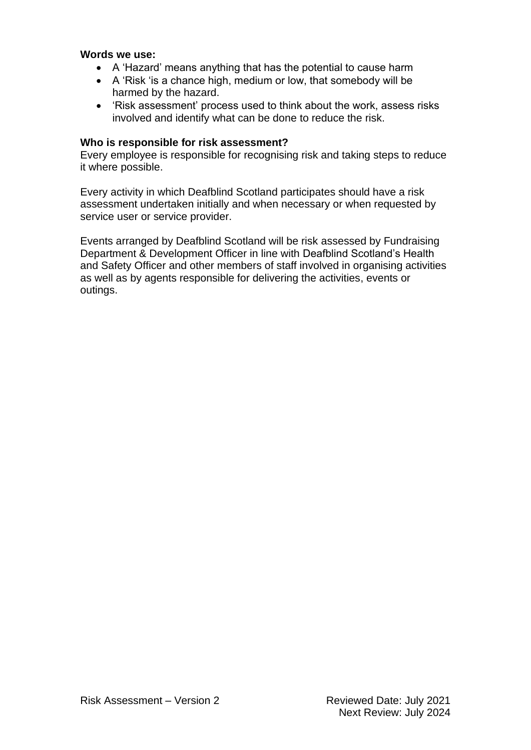#### **Words we use:**

- A 'Hazard' means anything that has the potential to cause harm
- A 'Risk 'is a chance high, medium or low, that somebody will be harmed by the hazard.
- 'Risk assessment' process used to think about the work, assess risks involved and identify what can be done to reduce the risk.

#### **Who is responsible for risk assessment?**

Every employee is responsible for recognising risk and taking steps to reduce it where possible.

Every activity in which Deafblind Scotland participates should have a risk assessment undertaken initially and when necessary or when requested by service user or service provider.

Events arranged by Deafblind Scotland will be risk assessed by Fundraising Department & Development Officer in line with Deafblind Scotland's Health and Safety Officer and other members of staff involved in organising activities as well as by agents responsible for delivering the activities, events or outings.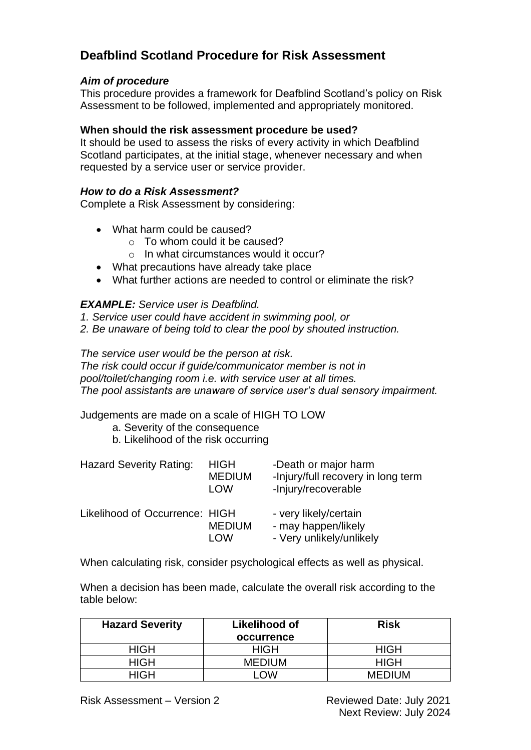## **Deafblind Scotland Procedure for Risk Assessment**

## *Aim of procedure*

This procedure provides a framework for Deafblind Scotland's policy on Risk Assessment to be followed, implemented and appropriately monitored.

### **When should the risk assessment procedure be used?**

It should be used to assess the risks of every activity in which Deafblind Scotland participates, at the initial stage, whenever necessary and when requested by a service user or service provider.

### *How to do a Risk Assessment?*

Complete a Risk Assessment by considering:

- What harm could be caused?
	- o To whom could it be caused?
	- o In what circumstances would it occur?
- What precautions have already take place
- What further actions are needed to control or eliminate the risk?

#### *EXAMPLE: Service user is Deafblind.*

- *1. Service user could have accident in swimming pool, or*
- *2. Be unaware of being told to clear the pool by shouted instruction.*

*The service user would be the person at risk.* 

*The risk could occur if guide/communicator member is not in pool/toilet/changing room i.e. with service user at all times. The pool assistants are unaware of service user's dual sensory impairment.* 

Judgements are made on a scale of HIGH TO LOW

- a. Severity of the consequence
- b. Likelihood of the risk occurring

| <b>Hazard Severity Rating:</b> | <b>HIGH</b><br><b>MEDIUM</b><br><b>LOW</b> | -Death or major harm<br>-Injury/full recovery in long term<br>-Injury/recoverable |
|--------------------------------|--------------------------------------------|-----------------------------------------------------------------------------------|
| Likelihood of Occurrence: HIGH | <b>MEDIUM</b><br>I OW                      | - very likely/certain<br>- may happen/likely<br>- Very unlikely/unlikely          |

When calculating risk, consider psychological effects as well as physical.

When a decision has been made, calculate the overall risk according to the table below:

| <b>Hazard Severity</b> | Likelihood of     | <b>Risk</b>   |
|------------------------|-------------------|---------------|
|                        | <b>occurrence</b> |               |
| <b>HIGH</b>            | <b>HIGH</b>       | <b>HIGH</b>   |
| HIGH                   | <b>MEDIUM</b>     | <b>HIGH</b>   |
| HIGH                   | 7W                | <b>MEDIUM</b> |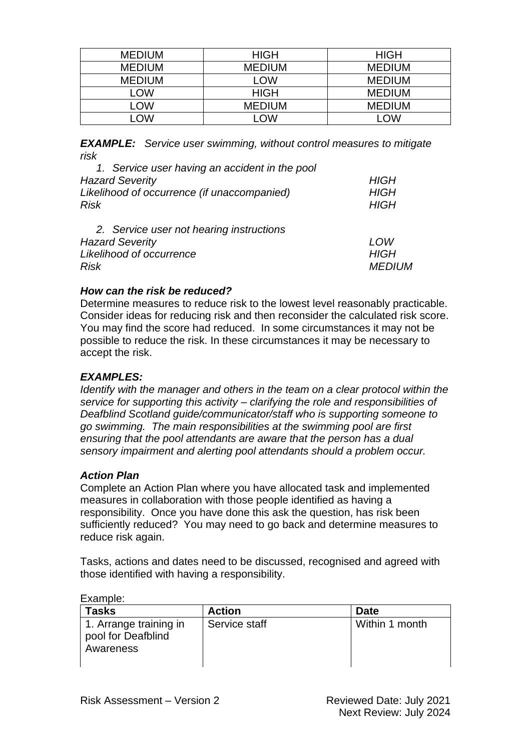| <b>MEDIUM</b> | <b>HIGH</b>   | <b>HIGH</b>   |
|---------------|---------------|---------------|
| <b>MEDIUM</b> | <b>MEDIUM</b> | <b>MEDIUM</b> |
| <b>MEDIUM</b> | LOW           | <b>MEDIUM</b> |
| _OW           | <b>HIGH</b>   | <b>MEDIUM</b> |
| <b>OW</b>     | <b>MEDIUM</b> | <b>MEDIUM</b> |
| <b>OW</b>     | OW            | OW            |

*EXAMPLE: Service user swimming, without control measures to mitigate risk*

| 1. Service user having an accident in the pool |               |
|------------------------------------------------|---------------|
| <b>Hazard Severity</b>                         | <b>HIGH</b>   |
| Likelihood of occurrence (if unaccompanied)    | <b>HIGH</b>   |
| <b>Risk</b>                                    | <b>HIGH</b>   |
| 2. Service user not hearing instructions       |               |
| <b>Hazard Severity</b>                         | LOW           |
| Likelihood of occurrence                       | <b>HIGH</b>   |
| <b>Risk</b>                                    | <i>MEDIUM</i> |

## *How can the risk be reduced?*

Determine measures to reduce risk to the lowest level reasonably practicable. Consider ideas for reducing risk and then reconsider the calculated risk score. You may find the score had reduced. In some circumstances it may not be possible to reduce the risk. In these circumstances it may be necessary to accept the risk.

## *EXAMPLES:*

*Identify with the manager and others in the team on a clear protocol within the service for supporting this activity – clarifying the role and responsibilities of Deafblind Scotland guide/communicator/staff who is supporting someone to go swimming. The main responsibilities at the swimming pool are first ensuring that the pool attendants are aware that the person has a dual sensory impairment and alerting pool attendants should a problem occur.*

#### *Action Plan*

Complete an Action Plan where you have allocated task and implemented measures in collaboration with those people identified as having a responsibility. Once you have done this ask the question, has risk been sufficiently reduced? You may need to go back and determine measures to reduce risk again.

Tasks, actions and dates need to be discussed, recognised and agreed with those identified with having a responsibility.

| <b>Tasks</b>                                              | <b>Action</b> | <b>Date</b>    |
|-----------------------------------------------------------|---------------|----------------|
| 1. Arrange training in<br>pool for Deafblind<br>Awareness | Service staff | Within 1 month |

Example: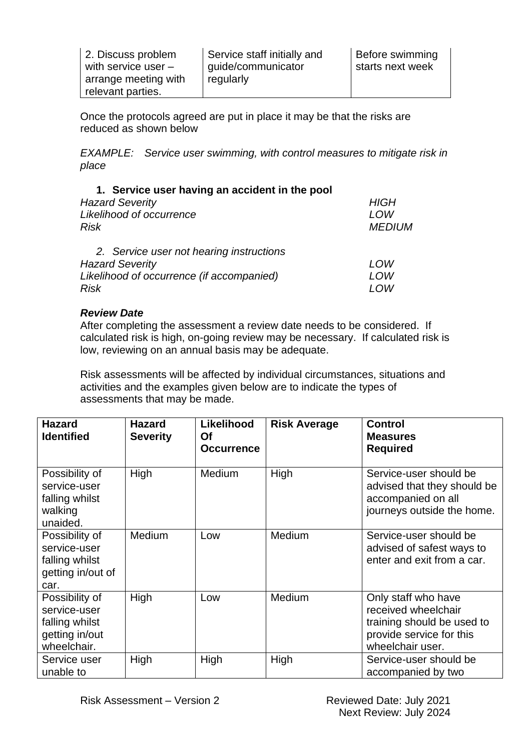| 2. Discuss problem    | Service staff initially and | Before swimming  |
|-----------------------|-----------------------------|------------------|
| with service user $-$ | guide/communicator          | starts next week |
| arrange meeting with  | regularly                   |                  |
| relevant parties.     |                             |                  |

Once the protocols agreed are put in place it may be that the risks are reduced as shown below

*EXAMPLE: Service user swimming, with control measures to mitigate risk in place*

| 1. Service user having an accident in the pool |               |
|------------------------------------------------|---------------|
| <b>Hazard Severity</b>                         | <b>HIGH</b>   |
| Likelihood of occurrence                       | LOW           |
| <b>Risk</b>                                    | <b>MEDIUM</b> |
| 2. Service user not hearing instructions       |               |
| <b>Hazard Severity</b>                         | LOW           |
| Likelihood of occurrence (if accompanied)      | LOW           |
| <b>Risk</b>                                    | I OW          |

#### *Review Date*

After completing the assessment a review date needs to be considered. If calculated risk is high, on-going review may be necessary. If calculated risk is low, reviewing on an annual basis may be adequate.

Risk assessments will be affected by individual circumstances, situations and activities and the examples given below are to indicate the types of assessments that may be made.

| <b>Hazard</b><br><b>Identified</b>                                                | <b>Hazard</b><br><b>Severity</b> | <b>Likelihood</b><br><b>Of</b><br><b>Occurrence</b> | <b>Risk Average</b> | <b>Control</b><br><b>Measures</b><br><b>Required</b>                                                                     |
|-----------------------------------------------------------------------------------|----------------------------------|-----------------------------------------------------|---------------------|--------------------------------------------------------------------------------------------------------------------------|
| Possibility of<br>service-user<br>falling whilst<br>walking<br>unaided.           | High                             | <b>Medium</b>                                       | High                | Service-user should be<br>advised that they should be<br>accompanied on all<br>journeys outside the home.                |
| Possibility of<br>service-user<br>falling whilst<br>getting in/out of<br>car.     | <b>Medium</b>                    | Low                                                 | Medium              | Service-user should be<br>advised of safest ways to<br>enter and exit from a car.                                        |
| Possibility of<br>service-user<br>falling whilst<br>getting in/out<br>wheelchair. | High                             | Low                                                 | Medium              | Only staff who have<br>received wheelchair<br>training should be used to<br>provide service for this<br>wheelchair user. |
| Service user<br>unable to                                                         | High                             | High                                                | High                | Service-user should be<br>accompanied by two                                                                             |